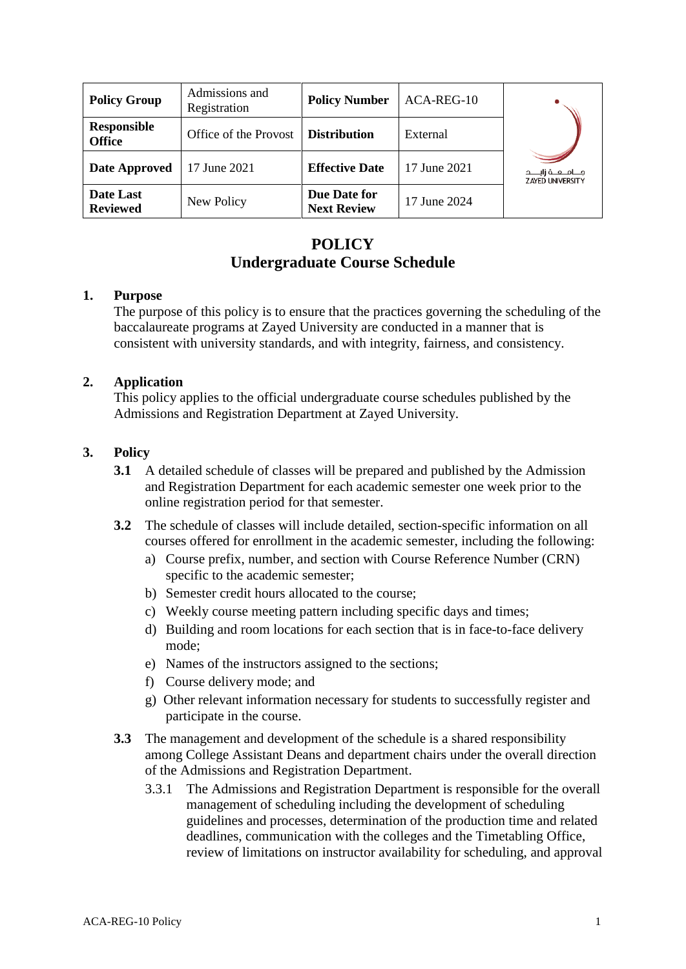| <b>Policy Group</b>          | Admissions and<br>Registration | <b>Policy Number</b>               | ACA-REG-10   |                                                      |
|------------------------------|--------------------------------|------------------------------------|--------------|------------------------------------------------------|
| Responsible<br><b>Office</b> | Office of the Provost          | <b>Distribution</b>                | External     |                                                      |
| Date Approved                | 17 June 2021                   | <b>Effective Date</b>              | 17 June 2021 | جــــامـــعـــة زايـــــد<br><b>ZAYED UNIVERSITY</b> |
| Date Last<br><b>Reviewed</b> | New Policy                     | Due Date for<br><b>Next Review</b> | 17 June 2024 |                                                      |

# **POLICY Undergraduate Course Schedule**

### **1. Purpose**

The purpose of this policy is to ensure that the practices governing the scheduling of the baccalaureate programs at Zayed University are conducted in a manner that is consistent with university standards, and with integrity, fairness, and consistency.

### **2. Application**

This policy applies to the official undergraduate course schedules published by the Admissions and Registration Department at Zayed University.

### **3. Policy**

- **3.1** A detailed schedule of classes will be prepared and published by the Admission and Registration Department for each academic semester one week prior to the online registration period for that semester.
- **3.2** The schedule of classes will include detailed, section-specific information on all courses offered for enrollment in the academic semester, including the following:
	- a) Course prefix, number, and section with Course Reference Number (CRN) specific to the academic semester;
	- b) Semester credit hours allocated to the course;
	- c) Weekly course meeting pattern including specific days and times;
	- d) Building and room locations for each section that is in face-to-face delivery mode;
	- e) Names of the instructors assigned to the sections;
	- f) Course delivery mode; and
	- g) Other relevant information necessary for students to successfully register and participate in the course.
- **3.3** The management and development of the schedule is a shared responsibility among College Assistant Deans and department chairs under the overall direction of the Admissions and Registration Department.
	- 3.3.1 The Admissions and Registration Department is responsible for the overall management of scheduling including the development of scheduling guidelines and processes, determination of the production time and related deadlines, communication with the colleges and the Timetabling Office, review of limitations on instructor availability for scheduling, and approval